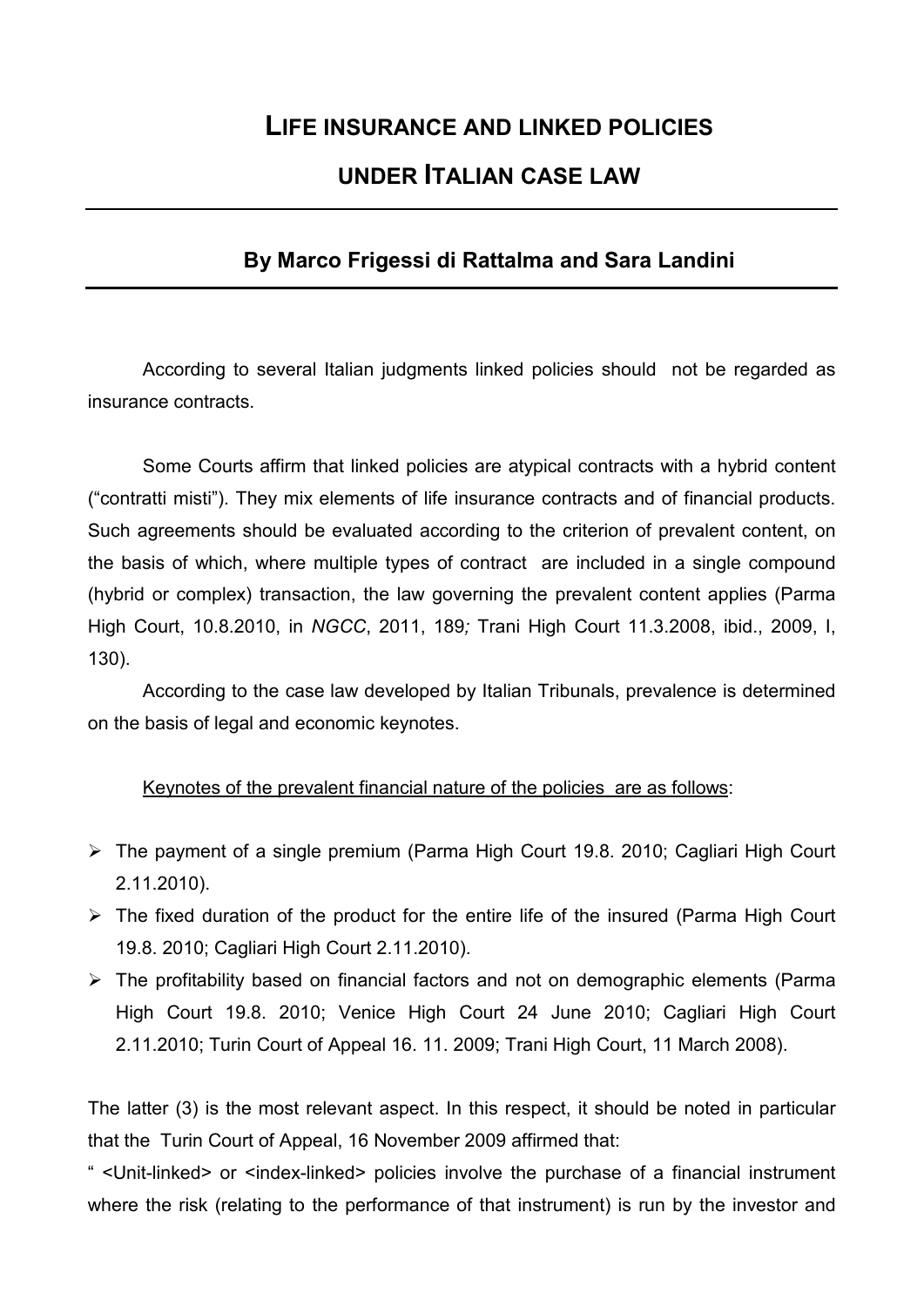## **LIFE INSURANCE AND LINKED POLICIES UNDER ITALIAN CASE LAW**

## **By Marco Frigessi di Rattalma and Sara Landini**

According to several Italian judgments linked policies should not be regarded as insurance contracts.

Some Courts affirm that linked policies are atypical contracts with a hybrid content ("contratti misti"). They mix elements of life insurance contracts and of financial products. Such agreements should be evaluated according to the criterion of prevalent content, on the basis of which, where multiple types of contract are included in a single compound (hybrid or complex) transaction, the law governing the prevalent content applies (Parma High Court, 10.8.2010, in *NGCC*, 2011, 189*;* Trani High Court 11.3.2008, ibid., 2009, I, 130).

According to the case law developed by Italian Tribunals, prevalence is determined on the basis of legal and economic keynotes.

## Keynotes of the prevalent financial nature of the policies are as follows:

- The payment of a single premium (Parma High Court 19.8. 2010; Cagliari High Court 2.11.2010).
- $\triangleright$  The fixed duration of the product for the entire life of the insured (Parma High Court 19.8. 2010; Cagliari High Court 2.11.2010).
- $\triangleright$  The profitability based on financial factors and not on demographic elements (Parma High Court 19.8. 2010; Venice High Court 24 June 2010; Cagliari High Court 2.11.2010; Turin Court of Appeal 16. 11. 2009; Trani High Court, 11 March 2008).

The latter (3) is the most relevant aspect. In this respect, it should be noted in particular that the Turin Court of Appeal, 16 November 2009 affirmed that:

" <Unit-linked> or <index-linked> policies involve the purchase of a financial instrument where the risk (relating to the performance of that instrument) is run by the investor and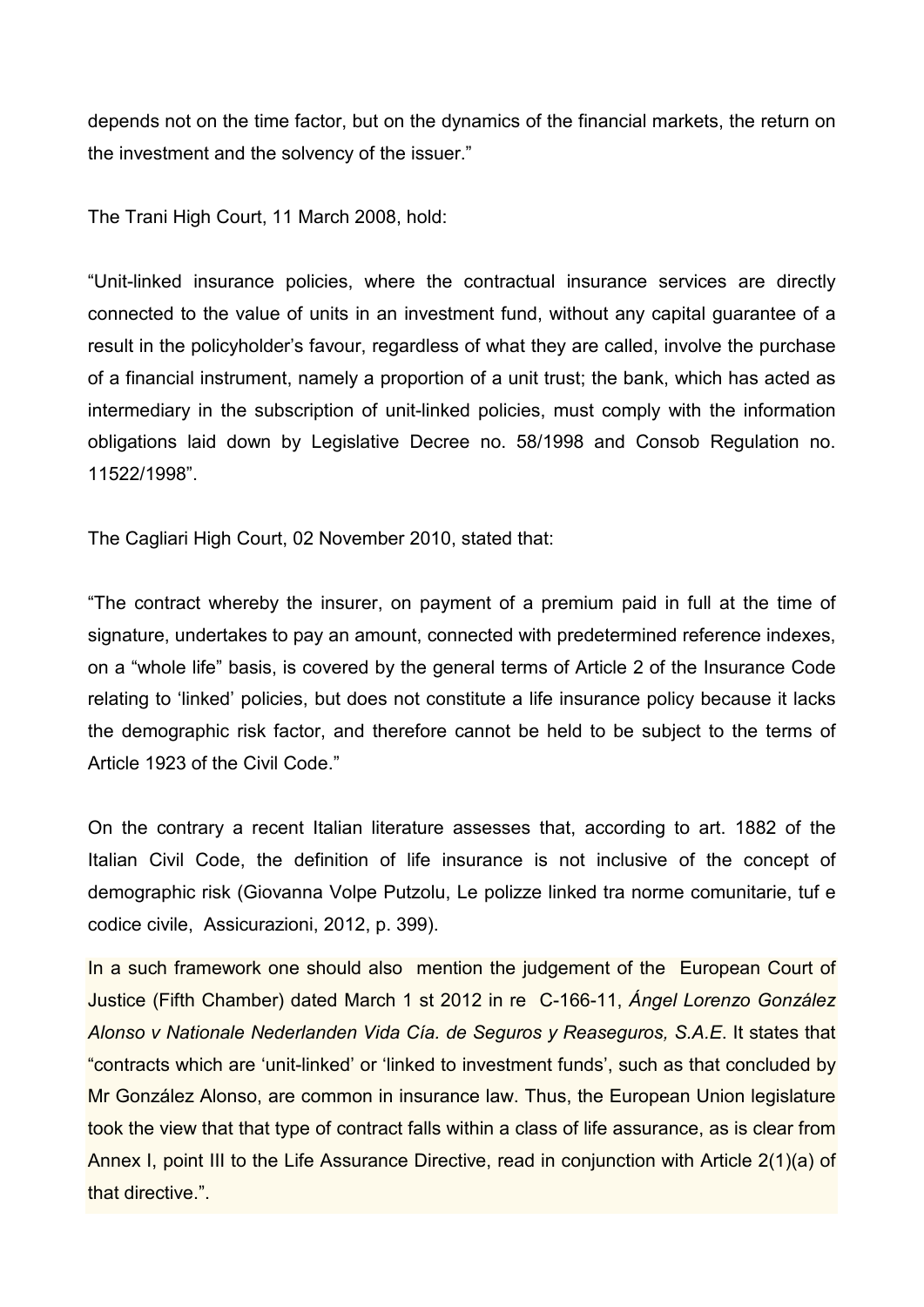depends not on the time factor, but on the dynamics of the financial markets, the return on the investment and the solvency of the issuer."

The Trani High Court, 11 March 2008, hold:

"Unit-linked insurance policies, where the contractual insurance services are directly connected to the value of units in an investment fund, without any capital guarantee of a result in the policyholder's favour, regardless of what they are called, involve the purchase of a financial instrument, namely a proportion of a unit trust; the bank, which has acted as intermediary in the subscription of unit-linked policies, must comply with the information obligations laid down by Legislative Decree no. 58/1998 and Consob Regulation no. 11522/1998".

The Cagliari High Court, 02 November 2010, stated that:

"The contract whereby the insurer, on payment of a premium paid in full at the time of signature, undertakes to pay an amount, connected with predetermined reference indexes, on a "whole life" basis, is covered by the general terms of Article 2 of the Insurance Code relating to 'linked' policies, but does not constitute a life insurance policy because it lacks the demographic risk factor, and therefore cannot be held to be subject to the terms of Article 1923 of the Civil Code."

On the contrary a recent Italian literature assesses that, according to art. 1882 of the Italian Civil Code, the definition of life insurance is not inclusive of the concept of demographic risk (Giovanna Volpe Putzolu, Le polizze linked tra norme comunitarie, tuf e codice civile, Assicurazioni, 2012, p. 399).

In a such framework one should also mention the judgement of the European Court of Justice (Fifth Chamber) dated March 1 st 2012 in re C-166-11, *Ángel Lorenzo González Alonso v Nationale Nederlanden Vida Cía. de Seguros y Reaseguros, S.A.E*. It states that "contracts which are 'unit-linked' or 'linked to investment funds', such as that concluded by Mr González Alonso, are common in insurance law. Thus, the European Union legislature took the view that that type of contract falls within a class of life assurance, as is clear from Annex I, point III to the Life Assurance Directive, read in conjunction with Article 2(1)(a) of that directive.".